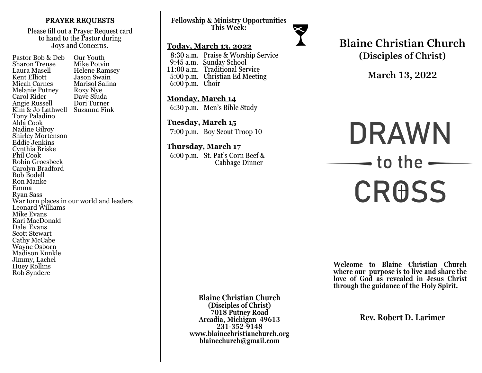### PRAYER REQUESTS

Please fill out a Prayer Request card to hand to the Pastor during Joys and Concerns.

Pastor Bob & Deb Our Youth<br>Sharon Trense Mike Potvin Sharon Trense<br>Laura Masell Laura Masell Helene Ramsey Jason Swain<br>Marisol Salina Micah Carnes Marisol Sa<br>Melanie Putney Roxy Nye Melanie Putney Roxy Nye<br>Carol Rider Dave Siuda Carol Rider Dave Siuda Angie Russell Kim & Jo Lathwell Suzanna Fink Tony Paladino Alda Cook Nadine Gilroy Shirley Mortenson Eddie Jenkins Cynthia Briske Phil Cook Robin Groesbeck Carolyn Bradford Bob Bodell Ron Manke Emma Ryan Sass War torn places in our world and leaders Leonard Williams Mike Evans Kari MacDonald Dale Evans Scott Stewart Cathy McCabe Wayne Osborn Madison Kunkle Jimmy, Lachel Huey Rollins Rob Syndere

**Fellowship & Ministry Opportunities This Week:**

### **Today, March 13, 2022**

 8:30 a.m. Praise & Worship Service 9:45 a.m. Sunday School 11:00 a.m. Traditional Service 5:00 p.m. Christian Ed Meeting 6:00 p.m. Choir

**Monday, March 14** 6:30 p.m. Men's Bible Study

**Tuesday, March 15** 7:00 p.m. Boy Scout Troop 10

**Thursday, March 17** 6:00 p.m. St. Pat's Corn Beef & Cabbage Dinner

# **Blaine Christian Church (Disciples of Christ)**

**March 13, 2022**

# **DRAWN**  $\rightarrow$  to the  $\rightarrow$ **CROSS**

**Welcome to Blaine Christian Church where our purpose is to live and share the love of God as revealed in Jesus Christ through the guidance of the Holy Spirit.**

**Blaine Christian Church (Disciples of Christ) 7018 Putney Road Arcadia, Michigan 49613 231-352-9148 www.blainechristianchurch.org blainechurch@gmail.com**

**Rev. Robert D. Larimer**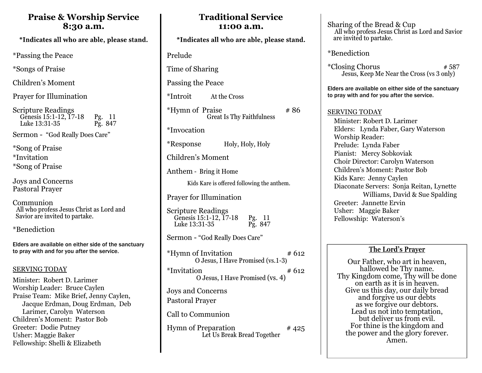# **Praise & Worship Service 8:30 a.m.**

\*Indicates all who are able, please stand.

\*Passing the Peace

\*Songs of Praise

Children's Moment

Prayer for Illumination

Scripture Readings Genesis 15:1-12, 17-18 Pg. 11<br>Luke 13:31-35 Pg. 847 Luke  $13:31-35$ 

Sermon - "God Really Does Care"

\*Song of Praise \*Invitation \*Song of Praise

Joys and Concerns Pastoral Prayer

Communion All who profess Jesus Christ as Lord and Savior are invited to partake.

\*Benediction

Elders are available on either side of the sanctuary to pray with and for you after the service.

# SERVING TODAY

Minister: Robert D. Larimer Worship Leader: Bruce Caylen Praise Team: Mike Brief, Jenny Caylen, Jacque Erdman, Doug Erdman, Deb Larimer, Carolyn Waterson Children's Moment: Pastor Bob Greeter: Dodie Putney Usher: Maggie Baker Fellowship: Shelli & Elizabeth

| 11.VV a.iii.                                                                       |
|------------------------------------------------------------------------------------|
| *Indicates all who are able, please stand.                                         |
| Prelude                                                                            |
| Time of Sharing                                                                    |
| Passing the Peace                                                                  |
| *Introit<br>At the Cross                                                           |
| <i><b>*Hymn of Praise</b></i><br>#86<br><b>Great Is Thy Faithfulness</b>           |
| *Invocation                                                                        |
| <i>*</i> Response<br>Holy, Holy, Holy                                              |
| Children's Moment                                                                  |
| Anthem - Bring it Home                                                             |
| Kids Kare is offered following the anthem.                                         |
| <b>Prayer for Illumination</b>                                                     |
| Scripture Readings<br>Genesis 15:1-12, 17-18<br>Pg. 11<br>Pg. 847<br>Luke 13:31-35 |
| Sermon - "God Really Does Care"                                                    |
| *Hymn of Invitation<br># 612<br>O Jesus, I Have Promised (vs.1-3)                  |
| *Invitation<br># 612<br>O Jesus, I Have Promised (vs. 4)                           |
| Joys and Concerns<br><b>Pastoral Prayer</b>                                        |
| Call to Communion                                                                  |
| <b>Hymn of Preparation</b><br>#425<br>Let Us Break Bread Together                  |

**Traditional Service 11:00 a.m.** 

Sharing of the Bread & Cup All who profess Jesus Christ as Lord and Savior are invited to partake.

\*Benediction

 $*Closing Chorus$   $*587$ Jesus, Keep Me Near the Cross (vs 3 only)

Elders are available on either side of the sanctuary to pray with and for you after the service.

## SERVING TODAY

 Minister: Robert D. Larimer Elders: Lynda Faber, Gary Waterson **Worship Reader:** Prelude: Lynda Faber Pianist: Mercy Sobkoviak Choir Director: Carolyn Waterson Children's Moment: Pastor Bob Kids Kare: Jenny Caylen Diaconate Servers: Sonja Reitan, Lynette Williams, David & Sue Spalding Greeter: Jannette Ervin Usher: Maggie Baker Fellowship: Waterson's

# **The Lord's Prayer**

Our Father, who art in heaven, hallowed be Thy name. Thy Kingdom come, Thy will be done on earth as it is in heaven. Give us this day, our daily bread and forgive us our debts as we forgive our debtors. Lead us not into temptation, but deliver us from evil. For thine is the kingdom and the power and the glory forever. Amen.